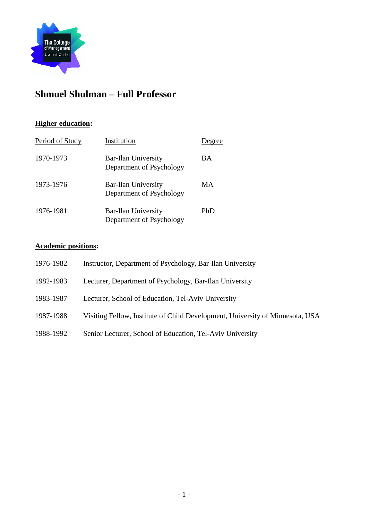

# **Shmuel Shulman – Full Professor**

# **Higher education:**

| Period of Study | Institution                                     | Degree |
|-----------------|-------------------------------------------------|--------|
| 1970-1973       | Bar-Ilan University<br>Department of Psychology | BA     |
| 1973-1976       | Bar-Ilan University<br>Department of Psychology | МA     |
| 1976-1981       | Bar-Ilan University<br>Department of Psychology | PhD    |

# **Academic positions:**

| 1976-1982 | Instructor, Department of Psychology, Bar-Ilan University                     |
|-----------|-------------------------------------------------------------------------------|
| 1982-1983 | Lecturer, Department of Psychology, Bar-Ilan University                       |
| 1983-1987 | Lecturer, School of Education, Tel-Aviv University                            |
| 1987-1988 | Visiting Fellow, Institute of Child Development, University of Minnesota, USA |
| 1988-1992 | Senior Lecturer, School of Education, Tel-Aviv University                     |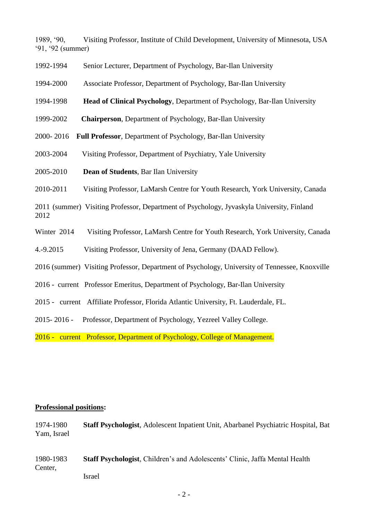1989, '90, Visiting Professor, Institute of Child Development, University of Minnesota, USA '91, '92 (summer)

- 1992-1994 Senior Lecturer, Department of Psychology, Bar-Ilan University
- 1994-2000 Associate Professor, Department of Psychology, Bar-Ilan University
- 1994-1998 **Head of Clinical Psychology**, Department of Psychology, Bar-Ilan University
- 1999-2002 **Chairperson**, Department of Psychology, Bar-Ilan University
- 2000- 2016 **Full Professor**, Department of Psychology, Bar-Ilan University
- 2003-2004 Visiting Professor, Department of Psychiatry, Yale University
- 2005-2010 **Dean of Students**, Bar Ilan University
- 2010-2011 Visiting Professor, LaMarsh Centre for Youth Research, York University, Canada

2011 (summer) Visiting Professor, Department of Psychology, Jyvaskyla University, Finland 2012

- Winter 2014 Visiting Professor, LaMarsh Centre for Youth Research, York University, Canada
- 4.-9.2015 Visiting Professor, University of Jena, Germany (DAAD Fellow).
- 2016 (summer) Visiting Professor, Department of Psychology, University of Tennessee, Knoxville
- 2016 current Professor Emeritus, Department of Psychology, Bar-Ilan University
- 2015 current Affiliate Professor, Florida Atlantic University, Ft. Lauderdale, FL.
- 2015- 2016 Professor, Department of Psychology, Yezreel Valley College.

2016 - current Professor, Department of Psychology, College of Management.

#### **Professional positions:**

1974-1980 **Staff Psychologist**, Adolescent Inpatient Unit, Abarbanel Psychiatric Hospital, Bat Yam, Israel

1980-1983 **Staff Psychologist**, Children's and Adolescents' Clinic, Jaffa Mental Health Center, Israel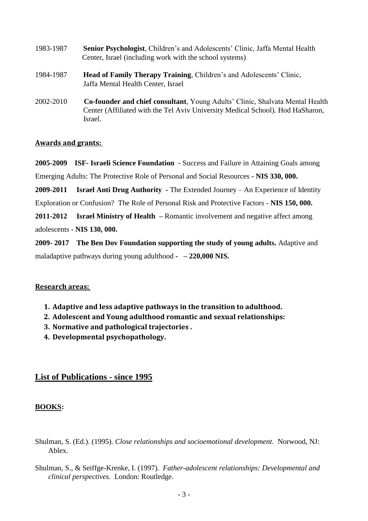| 1983-1987 | <b>Senior Psychologist, Children's and Adolescents' Clinic, Jaffa Mental Health</b><br>Center, Israel (including work with the school systems)                                    |
|-----------|-----------------------------------------------------------------------------------------------------------------------------------------------------------------------------------|
| 1984-1987 | Head of Family Therapy Training, Children's and Adolescents' Clinic,<br>Jaffa Mental Health Center, Israel                                                                        |
| 2002-2010 | <b>Co-founder and chief consultant, Young Adults' Clinic, Shalvata Mental Health</b><br>Center (Affiliated with the Tel Aviv University Medical School). Hod HaSharon,<br>Israel. |

### **Awards and grants:**

**2005-2009 ISF- Israeli Science Foundation** - Success and Failure in Attaining Goals among Emerging Adults: The Protective Role of Personal and Social Resources **- NIS 330, 000.**

**2009-2011 Israel Anti Drug Authority -** The Extended Journey – An Experience of Identity Exploration or Confusion? The Role of Personal Risk and Protective Factors - **NIS 150, 000.**

**2011-2012 Israel Ministry of Health –** Romantic involvement and negative affect among

adolescents - **NIS 130, 000.** 

**2009- 2017 The Ben Dov Foundation supporting the study of young adults.** Adaptive and maladaptive pathways during young adulthood **- – 220,000 NIS.** 

### **Research areas:**

- **1. Adaptive and less adaptive pathways in the transition to adulthood.**
- **2. Adolescent and Young adulthood romantic and sexual relationships:**
- **3. Normative and pathological trajectories .**
- **4. Developmental psychopathology.**

# **List of Publications - since 1995**

### **BOOKS:**

- Shulman, S. (Ed.). (1995). *Close relationships and socioemotional development.* Norwood, NJ: Ablex.
- Shulman, S., & Seiffge-Krenke, I. (1997). *Father-adolescent relationships: Developmental and clinical perspectives.* London: Routledge.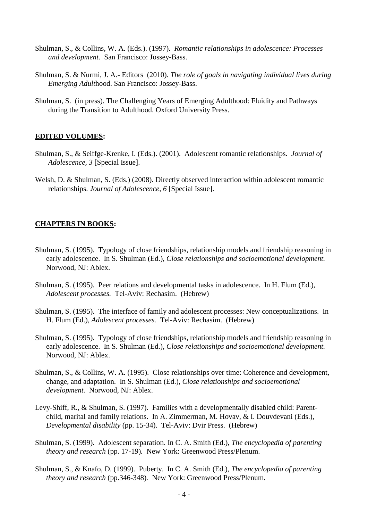- Shulman, S., & Collins, W. A. (Eds.). (1997). *Romantic relationships in adolescence: Processes and development.* San Francisco: Jossey-Bass.
- Shulman, S. & Nurmi, J. A.- Editors (2010). *The role of goals in navigating individual lives during Emerging Adult*hood. San Francisco: Jossey-Bass.
- Shulman, S. (in press). The Challenging Years of Emerging Adulthood: Fluidity and Pathways during the Transition to Adulthood. Oxford University Press.

#### **EDITED VOLUMES:**

- Shulman, S., & Seiffge-Krenke, I. (Eds.). (2001). Adolescent romantic relationships. *Journal of Adolescence, 3* [Special Issue].
- Welsh, D. & Shulman, S. (Eds.) (2008). Directly observed interaction within adolescent romantic relationships. *Journal of Adolescence, 6* [Special Issue].

#### **CHAPTERS IN BOOKS:**

- Shulman, S. (1995). Typology of close friendships, relationship models and friendship reasoning in early adolescence. In S. Shulman (Ed.), *Close relationships and socioemotional development.*  Norwood, NJ: Ablex.
- Shulman, S. (1995). Peer relations and developmental tasks in adolescence. In H. Flum (Ed.), *Adolescent processes.* Tel-Aviv: Rechasim. (Hebrew)
- Shulman, S. (1995). The interface of family and adolescent processes: New conceptualizations. In H. Flum (Ed.), *Adolescent processes.* Tel-Aviv: Rechasim. (Hebrew)
- Shulman, S. (1995). Typology of close friendships, relationship models and friendship reasoning in early adolescence. In S. Shulman (Ed.), *Close relationships and socioemotional development.*  Norwood, NJ: Ablex.
- Shulman, S., & Collins, W. A. (1995). Close relationships over time: Coherence and development, change, and adaptation. In S. Shulman (Ed.), *Close relationships and socioemotional development.* Norwood, NJ: Ablex.
- Levy-Shiff, R., & Shulman, S. (1997). Families with a developmentally disabled child: Parentchild, marital and family relations. In A. Zimmerman, M. Hovav, & I. Douvdevani (Eds.), *Developmental disability* (pp. 15-34)*.* Tel-Aviv: Dvir Press. (Hebrew)
- Shulman, S. (1999). Adolescent separation. In C. A. Smith (Ed.), *The encyclopedia of parenting theory and research* (pp. 17-19)*.* New York: Greenwood Press/Plenum.
- Shulman, S., & Knafo, D. (1999). Puberty. In C. A. Smith (Ed.), *The encyclopedia of parenting theory and research* (pp.346-348)*.* New York: Greenwood Press/Plenum.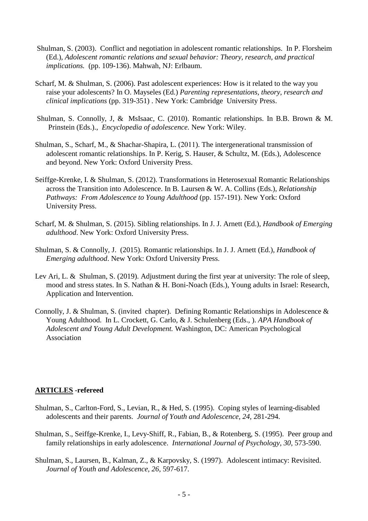- Shulman, S. (2003). Conflict and negotiation in adolescent romantic relationships. In P. Florsheim (Ed.), *Adolescent romantic relations and sexual behavior: Theory, research, and practical implications.* (pp. 109-136). Mahwah, NJ: Erlbaum.
- Scharf, M. & Shulman, S. (2006). Past adolescent experiences: How is it related to the way you raise your adolescents? In O. Mayseles (Ed.) *Parenting representations, theory, research and clinical implications* (pp. 319-351) . New York: Cambridge University Press.
- Shulman, S. Connolly, J, & MsIsaac, C. (2010). Romantic relationships. In B.B. Brown & M. Prinstein (Eds.)., *Encyclopedia of adolescence.* New York: Wiley.
- Shulman, S., Scharf, M., & Shachar-Shapira, L. (2011). The intergenerational transmission of adolescent romantic relationships. In P. Kerig, S. Hauser, & Schultz, M. (Eds.), Adolescence and beyond. New York: Oxford University Press.
- Seiffge-Krenke, I. & Shulman, S. (2012). Transformations in Heterosexual Romantic Relationships across the Transition into Adolescence. In B. Laursen & W. A. Collins (Eds.), *Relationship Pathways: From Adolescence to Young Adulthood* (pp. 157-191). New York: Oxford University Press.
- Scharf, M. & Shulman, S. (2015). Sibling relationships. In J. J. Arnett (Ed.), *Handbook of Emerging adulthood*. New York: Oxford University Press.
- Shulman, S. & Connolly, J. (2015). Romantic relationships. In J. J. Arnett (Ed.), *Handbook of Emerging adulthood*. New York: Oxford University Press.
- Lev Ari, L. & Shulman, S. (2019). Adjustment during the first year at university: The role of sleep, mood and stress states. In S. Nathan & H. Boni-Noach (Eds.), Young adults in Israel: Research, Application and Intervention.
- Connolly, J. & Shulman, S. (invited chapter). Defining Romantic Relationships in Adolescence & Young Adulthood. In L. Crockett, G. Carlo, & J. Schulenberg (Eds., ). *APA Handbook of Adolescent and Young Adult Development.* Washington, DC: American Psychological Association

#### **ARTICLES** -**refereed**

- Shulman, S., Carlton-Ford, S., Levian, R., & Hed, S. (1995). Coping styles of learning-disabled adolescents and their parents. *Journal of Youth and Adolescence, 24,* 281-294.
- Shulman, S., Seiffge-Krenke, I., Levy-Shiff, R., Fabian, B., & Rotenberg, S. (1995). Peer group and family relationships in early adolescence. *International Journal of Psychology, 30,* 573-590.
- Shulman, S., Laursen, B., Kalman, Z., & Karpovsky, S. (1997). Adolescent intimacy: Revisited. *Journal of Youth and Adolescence, 26,* 597-617.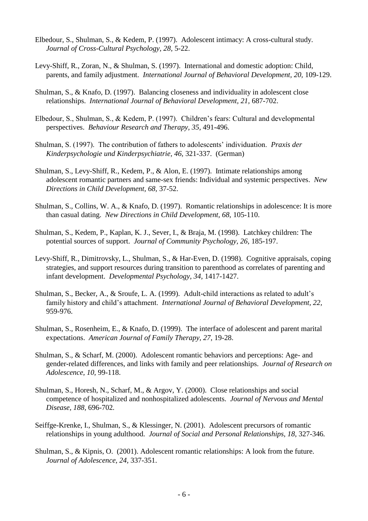- Elbedour, S., Shulman, S., & Kedem, P. (1997). Adolescent intimacy: A cross-cultural study. *Journal of Cross-Cultural Psychology, 28,* 5-22.
- Levy-Shiff, R., Zoran, N., & Shulman, S. (1997). International and domestic adoption: Child, parents, and family adjustment. *International Journal of Behavioral Development*, 20, 109-129.
- Shulman, S., & Knafo, D. (1997). Balancing closeness and individuality in adolescent close relationships. *International Journal of Behavioral Development, 21,* 687-702.
- Elbedour, S., Shulman, S., & Kedem, P. (1997). Children's fears: Cultural and developmental perspectives. *Behaviour Research and Therapy, 35,* 491-496.
- Shulman, S. (1997). The contribution of fathers to adolescents' individuation. *Praxis der Kinderpsychologie und Kinderpsychiatrie, 46,* 321-337. (German)
- Shulman, S., Levy-Shiff, R., Kedem, P., & Alon, E. (1997). Intimate relationships among adolescent romantic partners and same-sex friends: Individual and systemic perspectives. *New Directions in Child Development, 68,* 37-52.
- Shulman, S., Collins, W. A., & Knafo, D. (1997). Romantic relationships in adolescence: It is more than casual dating. *New Directions in Child Development, 68,* 105-110.
- Shulman, S., Kedem, P., Kaplan, K. J., Sever, I., & Braja, M. (1998). Latchkey children: The potential sources of support. *Journal of Community Psychology, 26,* 185-197.
- Levy-Shiff, R., Dimitrovsky, L., Shulman, S., & Har-Even, D. (1998). Cognitive appraisals, coping strategies, and support resources during transition to parenthood as correlates of parenting and infant development. *Developmental Psychology, 34,* 1417-1427.
- Shulman, S., Becker, A., & Sroufe, L. A. (1999). Adult-child interactions as related to adult's family history and child's attachment. *International Journal of Behavioral Development, 22,*  959-976.
- Shulman, S., Rosenheim, E., & Knafo, D. (1999). The interface of adolescent and parent marital expectations. *American Journal of Family Therapy, 27,* 19-28.
- Shulman, S., & Scharf, M. (2000). Adolescent romantic behaviors and perceptions: Age- and gender-related differences, and links with family and peer relationships. *Journal of Research on Adolescence, 10,* 99-118.
- Shulman, S., Horesh, N., Scharf, M., & Argov, Y. (2000). Close relationships and social competence of hospitalized and nonhospitalized adolescents. *Journal of Nervous and Mental Disease, 188,* 696-702*.*
- Seiffge-Krenke, I., Shulman, S., & Klessinger, N. (2001). Adolescent precursors of romantic relationships in young adulthood. *Journal of Social and Personal Relationships, 18,* 327-346*.*
- Shulman, S., & Kipnis, O. (2001). Adolescent romantic relationships: A look from the future. *Journal of Adolescence, 24,* 337-351.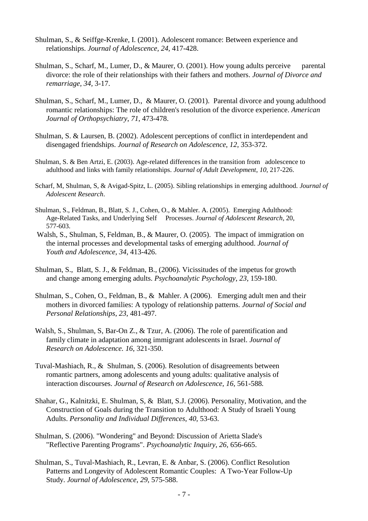- Shulman, S., & Seiffge-Krenke, I. (2001). Adolescent romance: Between experience and relationships. *Journal of Adolescence, 24,* 417-428.
- Shulman, S., Scharf, M., Lumer, D., & Maurer, O. (2001). How young adults perceive parental divorce: the role of their relationships with their fathers and mothers. *Journal of Divorce and remarriage, 34,* 3-17.
- Shulman, S., Scharf, M., Lumer, D., & Maurer, O. (2001). Parental divorce and young adulthood romantic relationships: The role of children's resolution of the divorce experience. *American Journal of Orthopsychiatry*, *71*, 473-478.
- Shulman, S. & Laursen, B. (2002). Adolescent perceptions of conflict in interdependent and disengaged friendships. *Journal of Research on Adolescence*, *12*, 353-372.
- Shulman, S. & Ben Artzi, E. (2003). Age-related differences in the transition from adolescence to adulthood and links with family relationships. *Journal of Adult Development*, *10*, 217-226.
- Scharf, M, Shulman, S, & Avigad-Spitz, L. (2005). Sibling relationships in emerging adulthood. *Journal of Adolescent Research*.
- Shulman, S., Feldman, B., Blatt, S. J., Cohen, O., & Mahler. A. (2005). Emerging Adulthood: Age-Related Tasks, and Underlying Self Processes. *Journal of Adolescent Research*, 20, 577-603.
- Walsh, S., Shulman, S, Feldman, B., & Maurer, O. (2005). The impact of immigration on the internal processes and developmental tasks of emerging adulthood. *Journal of Youth and Adolescence*, *34*, 413-426.
- Shulman, S., Blatt, S. J., & Feldman, B., (2006). Vicissitudes of the impetus for growth and change among emerging adults. *Psychoanalytic Psychology*, *23*, 159-180.
- Shulman, S., Cohen, O., Feldman, B., & Mahler. A (2006). Emerging adult men and their mothers in divorced families: A typology of relationship patterns. *Journal of Social and Personal Relationships*, *23*, 481-497.
- Walsh, S., Shulman, S, Bar-On Z., & Tzur, A. (2006). The role of parentification and family climate in adaptation among immigrant adolescents in Israel. *Journal of Research on Adolescence. 16*, 321-350.
- Tuval-Mashiach, R., & Shulman, S. (2006). Resolution of disagreements between romantic partners, among adolescents and young adults: qualitative analysis of interaction discourses. *Journal of Research on Adolescence, 16*, 561-588*.*
- Shahar, G., Kalnitzki, E. Shulman, S, & Blatt, S.J. (2006). Personality, Motivation, and the Construction of Goals during the Transition to Adulthood: A Study of Israeli Young Adults. *Personality and Individual Differences*, *40*, 53-63.
- Shulman, S. (2006). "Wondering" and Beyond: Discussion of Arietta Slade's "Reflective Parenting Programs". *Psychoanalytic Inquiry, 26,* 656-665.
- Shulman, S., Tuval-Mashiach, R., Levran, E. & Anbar, S. (2006). Conflict Resolution Patterns and Longevity of Adolescent Romantic Couples: A Two-Year Follow-Up Study. *Journal of Adolescence*, *29*, 575-588.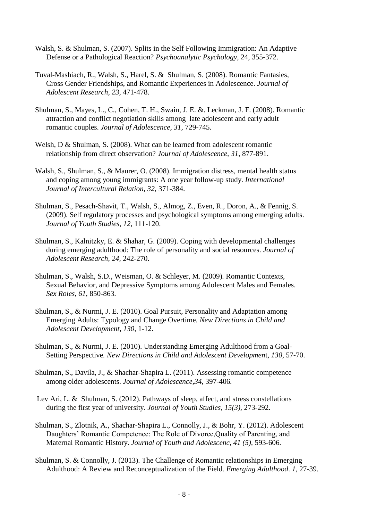- Walsh, S. & Shulman, S. (2007). Splits in the Self Following Immigration: An Adaptive Defense or a Pathological Reaction? *Psychoanalytic Psychology*, 24, 355-372.
- Tuval-Mashiach, R., Walsh, S., Harel, S. & Shulman, S. (2008). Romantic Fantasies, Cross Gender Friendships, and Romantic Experiences in Adolescence. *Journal of Adolescent Research, 23,* 471-478.
- Shulman, S., Mayes, L., C., Cohen, T. H., Swain, J. E. &. Leckman, J. F. (2008). Romantic attraction and conflict negotiation skills among late adolescent and early adult romantic couples. *Journal of Adolescence, 31,* 729-745*.*
- Welsh, D & Shulman, S. (2008). What can be learned from adolescent romantic relationship from direct observation? *Journal of Adolescence, 31*, 877-891.
- Walsh, S., Shulman, S., & Maurer, O. (2008). Immigration distress, mental health status and coping among young immigrants: A one year follow-up study. *International Journal of Intercultural Relation, 32,* 371-384.
- Shulman, S., Pesach-Shavit, T., Walsh, S., Almog, Z., Even, R., Doron, A., & Fennig, S. (2009). Self regulatory processes and psychological symptoms among emerging adults. *Journal of Youth Studies, 12,* 111-120.
- Shulman, S., Kalnitzky, E. & Shahar, G. (2009). Coping with developmental challenges during emerging adulthood: The role of personality and social resources. *Journal of Adolescent Research, 24,* 242-270.
- Shulman, S., Walsh, S.D., Weisman, O. & Schleyer, M. (2009)*.* Romantic Contexts, Sexual Behavior, and Depressive Symptoms among Adolescent Males and Females. *Sex Roles*, *61*, 850-863.
- Shulman, S., & Nurmi, J. E. (2010). Goal Pursuit, Personality and Adaptation among Emerging Adults: Typology and Change Overtime*. New Directions in Child and Adolescent Development*, *130,* 1-12.
- Shulman, S., & Nurmi, J. E. (2010). Understanding Emerging Adulthood from a Goal-Setting Perspective*. New Directions in Child and Adolescent Developmen*t, *130,* 57-70.
- Shulman, S., Davila, J., & Shachar-Shapira L. (2011). Assessing romantic competence among older adolescents. *Journal of Adolescence,34,* 397-406*.*
- Lev Ari, L. & Shulman, S. (2012). Pathways of sleep, affect, and stress constellations during the first year of university. *Journal of Youth Studies, 15(3),* 273-292*.*
- Shulman, S., Zlotnik, A., Shachar-Shapira L., Connolly, J., & Bohr, Y. (2012). Adolescent Daughters' Romantic Competence: The Role of Divorce,Quality of Parenting, and Maternal Romantic History. *Journal of Youth and Adolescenc, 41 (5),* 593-606*.*
- Shulman, S. & Connolly, J. (2013). The Challenge of Romantic relationships in Emerging Adulthood: A Review and Reconceptualization of the Field. *Emerging Adulthood*. *1*, 27-39.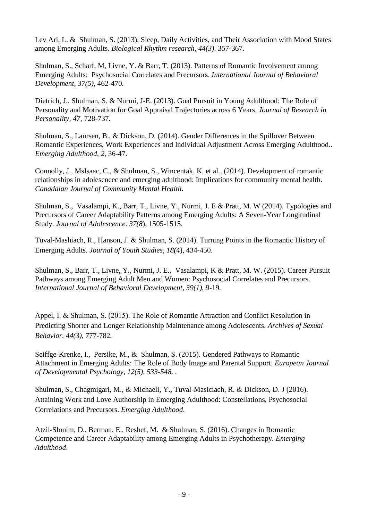Lev Ari, L. & Shulman, S. (2013). Sleep, Daily Activities, and Their Association with Mood States among Emerging Adults. *Biological Rhythm research, 44(3)*. 357-367.

Shulman, S., Scharf, M, Livne, Y. & Barr, T. (2013). Patterns of Romantic Involvement among Emerging Adults: Psychosocial Correlates and Precursors. *International Journal of Behavioral Development, 37(5),* 462-470*.* 

Dietrich, J., Shulman, S. & Nurmi, J-E. (2013). Goal Pursuit in Young Adulthood: The Role of Personality and Motivation for Goal Appraisal Trajectories across 6 Years. *Journal of Research in Personality, 47,* 728-737.

Shulman, S., Laursen, B., & Dickson, D. (2014). Gender Differences in the Spillover Between Romantic Experiences, Work Experiences and Individual Adjustment Across Emerging Adulthood.. *Emerging Adulthood, 2,* 36-47*.* 

Connolly, J., MsIsaac, C., & Shulman, S., Wincentak, K. et al., (2014). Development of romantic relationships in adolescncec and emerging adulthood: Implications for community mental health. *Canadaian Journal of Community Mental Health*.

Shulman, S., Vasalampi, K., Barr, T., Livne, Y., Nurmi, J. E & Pratt, M. W (2014). Typologies and Precursors of Career Adaptability Patterns among Emerging Adults: A Seven-Year Longitudinal Study. *Journal of Adolescence*. *37(8*), 1505-1515.

Tuval-Mashiach, R., Hanson, J. & Shulman, S. (2014). Turning Points in the Romantic History of Emerging Adults. *Journal of Youth Studies*, *18(4*), 434-450.

Shulman, S., Barr, T., Livne, Y., Nurmi, J. E., Vasalampi, K & Pratt, M. W. (2015). Career Pursuit Pathways among Emerging Adult Men and Women: Psychosocial Correlates and Precursors. *International Journal of Behavioral Development, 39(1),* 9-19*.* 

Appel, I. & Shulman, S. (2015). The Role of Romantic Attraction and Conflict Resolution in Predicting Shorter and Longer Relationship Maintenance among Adolescents. *Archives of Sexual Behavior. 44(3),* 777-782*.* 

Seiffge-Krenke, I., Persike, M., & Shulman, S. (2015). Gendered Pathways to Romantic Attachment in Emerging Adults: The Role of Body Image and Parental Support. *European Journal of Developmental Psychology, 12(5), 533-548. .* 

Shulman, S., Chagmigari, M., & Michaeli, Y., Tuval-Masiciach, R. & Dickson, D. J (2016). Attaining Work and Love Authorship in Emerging Adulthood: Constellations, Psychosocial Correlations and Precursors. *Emerging Adulthood*.

Atzil-Slonim, D., Berman, E., Reshef, M. & Shulman, S. (2016). Changes in Romantic Competence and Career Adaptability among Emerging Adults in Psychotherapy. *Emerging Adulthood*.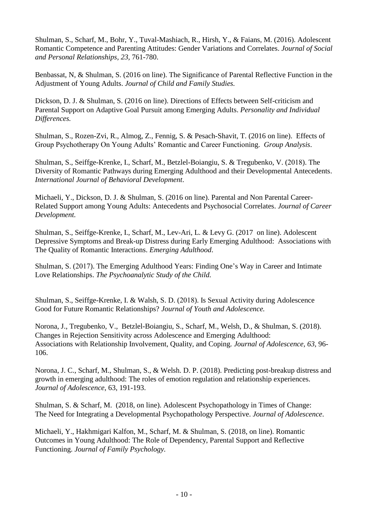Shulman, S., Scharf, M., Bohr, Y., Tuval-Mashiach, R., Hirsh, Y., & Faians, M. (2016). Adolescent Romantic Competence and Parenting Attitudes: Gender Variations and Correlates. *Journal of Social and Personal Relationships, 23,* 761-780.

Benbassat, N, & Shulman, S. (2016 on line). The Significance of Parental Reflective Function in the Adjustment of Young Adults. *Journal of Child and Family Studies.* 

Dickson, D. J. & Shulman, S. (2016 on line). Directions of Effects between Self-criticism and Parental Support on Adaptive Goal Pursuit among Emerging Adults. *Personality and Individual Differences.* 

Shulman, S., Rozen-Zvi, R., Almog, Z., Fennig, S. & Pesach-Shavit, T. (2016 on line). Effects of Group Psychotherapy On Young Adults' Romantic and Career Functioning. *Group Analysis*.

Shulman, S., Seiffge-Krenke, I., Scharf, M., Betzlel-Boiangiu, S. & Tregubenko, V. (2018). The Diversity of Romantic Pathways during Emerging Adulthood and their Developmental Antecedents. *International Journal of Behavioral Development*.

Michaeli, Y., Dickson, D. J. & Shulman, S. (2016 on line). Parental and Non Parental Career-Related Support among Young Adults: Antecedents and Psychosocial Correlates. *Journal of Career Development.* 

Shulman, S., Seiffge-Krenke, I., Scharf, M., Lev-Ari, L. & Levy G. (2017 on line). Adolescent Depressive Symptoms and Break-up Distress during Early Emerging Adulthood: Associations with The Quality of Romantic Interactions. *Emerging Adulthood*.

Shulman, S. (2017). The Emerging Adulthood Years: Finding One's Way in Career and Intimate Love Relationships. *The Psychoanalytic Study of the Child.*

Shulman, S., Seiffge-Krenke, I. & Walsh, S. D. (2018). Is Sexual Activity during Adolescence Good for Future Romantic Relationships? *Journal of Youth and Adolescence.* 

Norona, J., Tregubenko, V., Betzlel-Boiangiu, S., Scharf, M., Welsh, D., & Shulman, S. (2018). Changes in Rejection Sensitivity across Adolescence and Emerging Adulthood: Associations with Relationship Involvement, Quality, and Coping*. Journal of Adolescence, 63,* 96- 106.

Norona, J. C., Scharf, M., Shulman, S., & Welsh. D. P. (2018). Predicting post-breakup distress and growth in emerging adulthood: The roles of emotion regulation and relationship experiences. *Journal of Adolescence*, 63, 191-193.

Shulman, S. & Scharf, M. (2018, on line). Adolescent Psychopathology in Times of Change: The Need for Integrating a Developmental Psychopathology Perspective. *Journal of Adolescence*.

Michaeli, Y., Hakhmigari Kalfon, M., Scharf, M. & Shulman, S. (2018, on line). Romantic Outcomes in Young Adulthood: The Role of Dependency, Parental Support and Reflective Functioning. *Journal of Family Psychology.*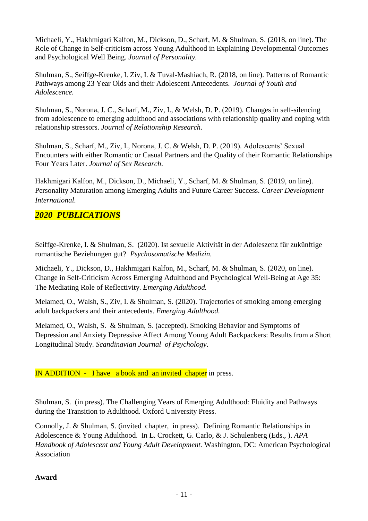Michaeli, Y., Hakhmigari Kalfon, M., Dickson, D., Scharf, M. & Shulman, S. (2018, on line). The Role of Change in Self-criticism across Young Adulthood in Explaining Developmental Outcomes and Psychological Well Being. *Journal of Personality.* 

Shulman, S., Seiffge-Krenke, I. Ziv, I. & Tuval-Mashiach, R. (2018, on line). Patterns of Romantic Pathways among 23 Year Olds and their Adolescent Antecedents. *Journal of Youth and Adolescence.* 

Shulman, S., Norona, J. C., Scharf, M., Ziv, I., & Welsh, D. P. (2019). Changes in self-silencing from adolescence to emerging adulthood and associations with relationship quality and coping with relationship stressors. *Journal of Relationship Research.*

Shulman, S., Scharf, M., Ziv, I., Norona, J. C. & Welsh, D. P. (2019). Adolescents' Sexual Encounters with either Romantic or Casual Partners and the Quality of their Romantic Relationships Four Years Later. *Journal of Sex Research*.

Hakhmigari Kalfon, M., Dickson, D., Michaeli, Y., Scharf, M. & Shulman, S. (2019, on line). Personality Maturation among Emerging Adults and Future Career Success. *Career Development International.*

# *2020 PUBLICATIONS*

Seiffge-Krenke, I. & Shulman, S. (2020). Ist sexuelle Aktivität in der Adoleszenz für zukünftige romantische Beziehungen gut? *Psychosomatische Medizin.*

Michaeli, Y., Dickson, D., Hakhmigari Kalfon, M., Scharf, M. & Shulman, S. (2020, on line). Change in Self-Criticism Across Emerging Adulthood and Psychological Well-Being at Age 35: The Mediating Role of Reflectivity. *Emerging Adulthood.*

Melamed, O., Walsh, S., Ziv, I. & Shulman, S. (2020). Trajectories of smoking among emerging adult backpackers and their antecedents. *Emerging Adulthood.*

Melamed, O., Walsh, S. & Shulman, S. (accepted). Smoking Behavior and Symptoms of Depression and Anxiety Depressive Affect Among Young Adult Backpackers: Results from a Short Longitudinal Study. *Scandinavian Journal of Psychology*.

IN ADDITION - I have a book and an invited chapter in press.

Shulman, S. (in press). The Challenging Years of Emerging Adulthood: Fluidity and Pathways during the Transition to Adulthood. Oxford University Press.

Connolly, J. & Shulman, S. (invited chapter, in press). Defining Romantic Relationships in Adolescence & Young Adulthood. In L. Crockett, G. Carlo, & J. Schulenberg (Eds., ). *APA Handbook of Adolescent and Young Adult Development.* Washington, DC: American Psychological Association

### **Award**